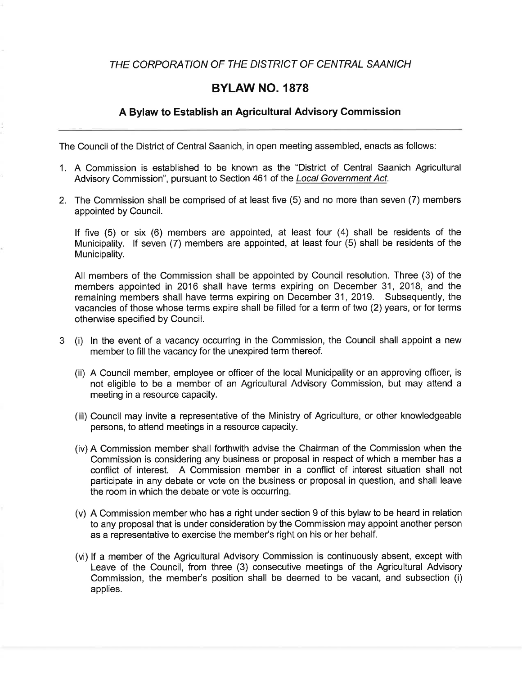## THE CORPORATION OF THE DISTRICT OF CENTRAL SAANICH

## BYLAW NO. 1878

## A Bylaw to Establish an Agricultural Advisory Gommission

The Council of the District of Central Saanich, in open meeting assembled, enacts as follows:

- 1. A Commission is established to be known as the "District of Central Saanich Agricultural Advisory Commission", pursuant to Section 461 of the *Local Government Act*.
- 2. The Commission shall be comprised of at least five (5) and no more than seven (7) members appointed by Council.

lf five (5) or six (6) members are appointed, at least four (4) shall be residents of the Municipality. lf seven (7) members are appointed, at least four (5) shall be residents of the Municipality.

All members of the Commission shall be appointed by Council resolution. Three (3) of the members appointed in 2016 shall have terms expiring on December 31, 2018, and the remaining members shall have terms expiring on December 31, 2019. Subsequently, the vacancies of those whose terms expire shall be filled for a term of two (2) years, or for terms otherwise specified by Council.

- 3 (i) ln the event of a vacancy occurring in the Commission, the Council shall appoint a new member to fill the vacancy for the unexpired term thereof.
	- (ii) A Council member, employee or officer of the local Municipality or an approving officer, is not eligible to be a member of an Agricultural Advisory Commission, but may attend <sup>a</sup> meeting in a resource capacity.
	- (iii) Council may invite a representative of the Ministry of Agriculture, or other knowledgeable persons, to attend meetings in a resource capacity.
	- (iv) A Commission member shall forthwith advise the Chairman of the Commission when the Commission is considering any business or proposal in respect of which a member has a conflict of interest. A Commission member in a conflict of interest situation shall not participate in any debate or vote on the business or proposal in question, and shall leave the room in which the debate or vote is occurring.
	- (v) A Commission member who has a right under section 9 of this bylaw to be heard in relation to any proposal that is under consideration by the Commission may appoint another person as a representative to exercise the member's right on his or her behalf.
	- (vi) lf a member of the Agricultural Advisory Commission is continuously absent, except with Leave of the Council, from three (3) consecutive meetings of the Agricultural Advisory Commission, the member's position shall be deemed to be vacant, and subsection (i) applies.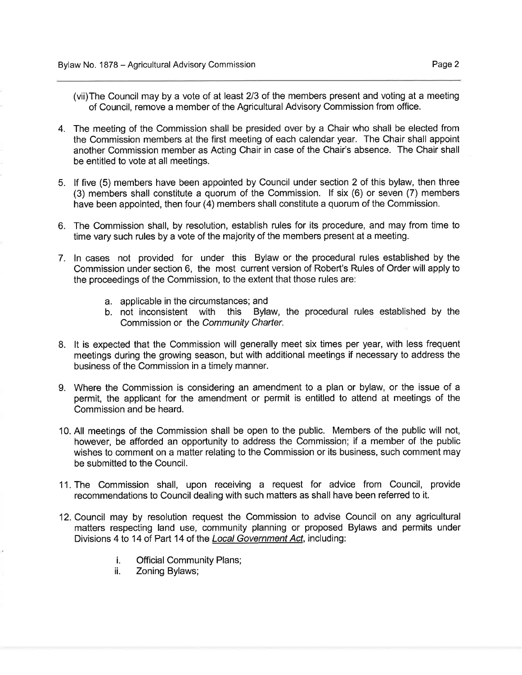- (vii)The Council may by a vote of at least 213 of the members present and voting at a meeting of Council, remove a member of the Agricultural Advisory Commission from office.
- 4. The meeting of the Commission shall be presided over by a Chair who shall be elected from the Commission members at the first meeting of each calendar year. The Chair shall appoint another Commission member as Acting Chair in case of the Chair's absence. The Chair shall be entitled to vote at all meetings.
- 5. lf five (5) members have been appointed by Council under section 2 of this bylaw, then three (3) members shall constitute a quorum of the Commission. lf six (6) or seven (7) members have been appointed, then four (4) members shall constitute a quorum of the Commission.
- 6. The Commission shall, by resolution, establish rules for its procedure, and may from time to time vary such rules by a vote of the majority of the members present at a meeting.
- 7. ln cases not provided for under this Bylaw or the procedural rules established by the Commission under section 6, the most current version of Robert's Rules of Order will apply to the proceedings of the Commission, to the extent that those rules are:
	- a. applicable in the circumstances; and
	- b. not inconsistent with this Bylaw, the procedural rules established by the Commission or the Community Charter.
- 8. lt is expected that the Commission will generally meet six times per year, with less frequent meetings during the growing season, but with additional meetings if necessary to address the business of the Commission in a timely manner.
- 9. Where the Commission is considering an amendment to a plan or bylaw, or the issue of <sup>a</sup> permit, the applicant for the amendment or permit is entitled to attend at meetings of the Commission and be heard.
- 10. All meetings of the Commission shall be open to the public. Members of the public will not, however, be afforded an opportunity to address the Commission; if a member of the public wishes to comment on a matter relating to the Commission or its business, such comment may be submitted to the Council.
- 11. The Commission shall, upon receiving a request for advice from Council, provide recommendations to Council dealing with such matters as shall have been referred to it.
- 12. Council may by resolution request the Commission to advise Council on any agricultural matters respecting land use, community planning or proposed Bylaws and permits under Divisions 4 to 14 of Part 14 of the *Local Government Act*, including:
	- i. Official Community Plans;
	- ii. Zoning Bylaws;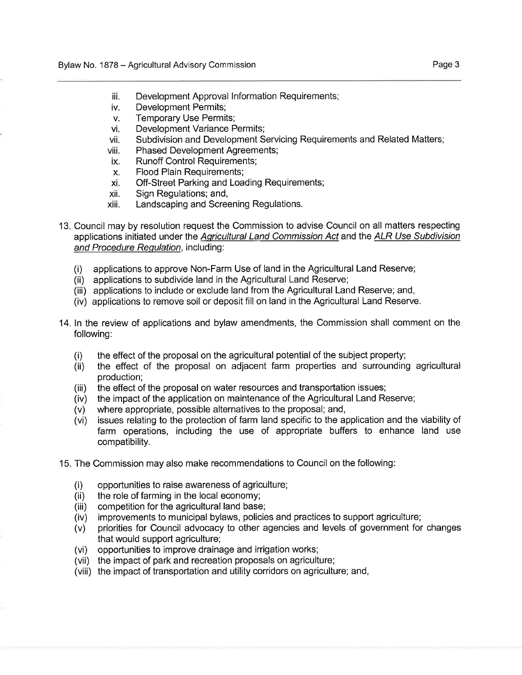- iii. Development Approval Information Requirements;<br>iv. Development Permits;<br>v. Temporary Use Permits:
- 
- v. Temporary Use Permits;<br>vi. Development Variance P
- vi. Development Variance Permits;<br>vii. Subdivision and Development S
- vii. Subdivision and Development Servicing Requirements and Related Matters;<br>viii. Phased Development Agreements;
- viii. Phased Development Agreements;<br>ix. Runoff Control Requirements;<br>x. Flood Plain Requirements;
- 
- 
- x. Flood Plain Requirements;<br>xi. Off-Street Parking and Loading Requirements;<br>xii. Sign Requlations; and,
- 
- xiii. Landscaping and Screening Regulations.
- 13. Council may by resolution request the Commission to advise Council on all matters respecting applications initiated under the Agricultural Land Commission Act and the ALR Use Subdivision and Procedure Requlation, including:
	- (i) applications to approve Non-Farm Use of land in the Agricultural Land Reserve;
	- (ii) applications to subdivide land in the Agricultural Land Reserve;
	- (iii) applications to include or exclude land from the Agricultural Land Reserve; and,
	- (iv) applications to remove soil or deposit fill on land in the Agricultural Land Reserve.
- 14.ln the review of applications and bylaw amendments, the Commission shall comment on the following:
	- (i) the effect of the proposal on the agricultural potential of the subject property;<br>(ii) the effect of the proposal on adjacent farm properties and surrounding
	- the effect of the proposal on adjacent farm properties and surrounding agricultural production;
	- (iii) the effect of the proposal on water resources and transportation issues;
	- (iv) the impact of the application on maintenance of the Agricultural Land Reserve, (v) where appropriate, possible alternatives to the proposal; and,
	-
	- (vi) issues relating to the protection of farm land specific to the application and the viability of farm operations, including the use of appropriate buffers to enhance land use compatibility.
- 15. The Commission may also make recommendations to Council on the following:
	- (i) opportunities to raise awareness of agriculture; (ii) the role of farming in the local economy;
	-
	-
	- (iii) competition for the agricultural land base;<br>(iv) improvements to municipal bylaws, policies and practices to support agriculture;
	- (iv) improvements to municipal bylaws, policies and practices to support agriculture; (v) priorities for Council advocacy to other agencies and levels of government for changes that would support agriculture;
	- (vi) opportunities to improve drainage and irrigation works;
	- (vii) the impact of park and recreation proposals on agriculture;
	- (viii) the impact of transportation and utility corridors on agriculture; and,